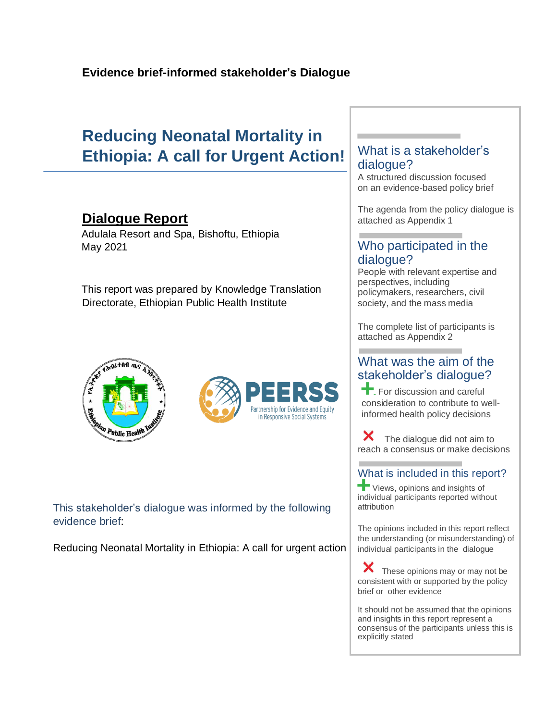## **Reducing Neonatal Mortality in Ethiopia: A call for Urgent Action!**

## **Dialogue Report**

Adulala Resort and Spa, Bishoftu, Ethiopia May 2021

This report was prepared by Knowledge Translation Directorate, Ethiopian Public Health Institute





This stakeholder's dialogue was informed by the following evidence brief:

Reducing Neonatal Mortality in Ethiopia: A call for urgent action

### What is a stakeholder's dialogue?

A structured discussion focused on an evidence-based policy brief

The agenda from the policy dialogue is attached as Appendix 1

### Who participated in the dialogue?

People with relevant expertise and perspectives, including policymakers, researchers, civil society, and the mass media

The complete list of participants is attached as Appendix 2

### What was the aim of the stakeholder's dialogue?

For discussion and careful consideration to contribute to wellinformed health policy decisions

X The dialogue did not aim to reach a consensus or make decisions

#### What is included in this report?

**T** Views, opinions and insights of individual participants reported without attribution

The opinions included in this report reflect the understanding (or misunderstanding) of individual participants in the dialogue

These opinions may or may not be consistent with or supported by the policy brief or other evidence

It should not be assumed that the opinions and insights in this report represent a consensus of the participants unless this is explicitly stated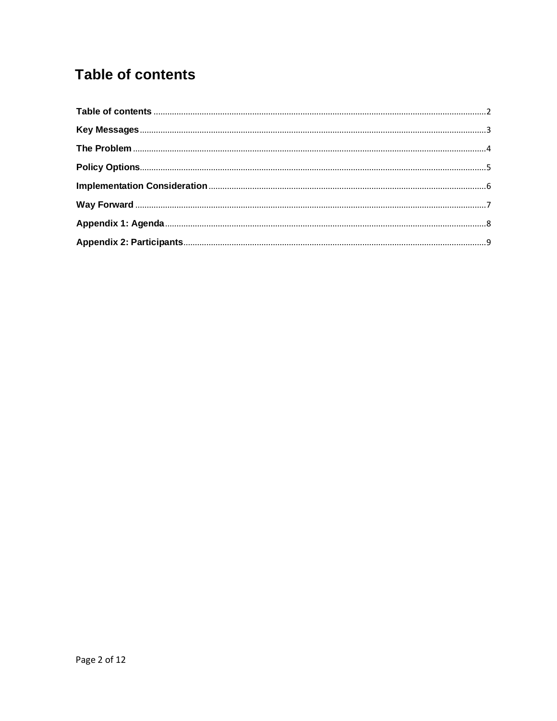## <span id="page-1-0"></span>**Table of contents**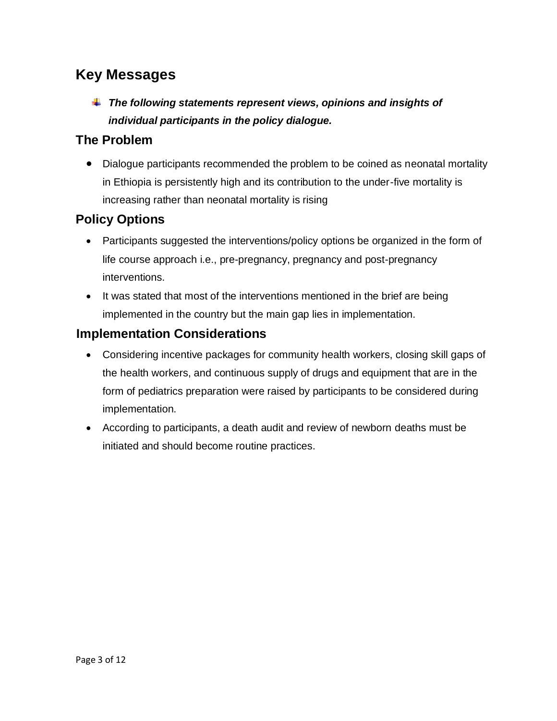## <span id="page-2-0"></span>**Key Messages**

*The following statements represent views, opinions and insights of individual participants in the policy dialogue.*

### **The Problem**

• Dialogue participants recommended the problem to be coined as neonatal mortality in Ethiopia is persistently high and its contribution to the under-five mortality is increasing rather than neonatal mortality is rising

## **Policy Options**

- Participants suggested the interventions/policy options be organized in the form of life course approach i.e., pre-pregnancy, pregnancy and post-pregnancy interventions.
- It was stated that most of the interventions mentioned in the brief are being implemented in the country but the main gap lies in implementation.

### **Implementation Considerations**

- Considering incentive packages for community health workers, closing skill gaps of the health workers, and continuous supply of drugs and equipment that are in the form of pediatrics preparation were raised by participants to be considered during implementation.
- According to participants, a death audit and review of newborn deaths must be initiated and should become routine practices.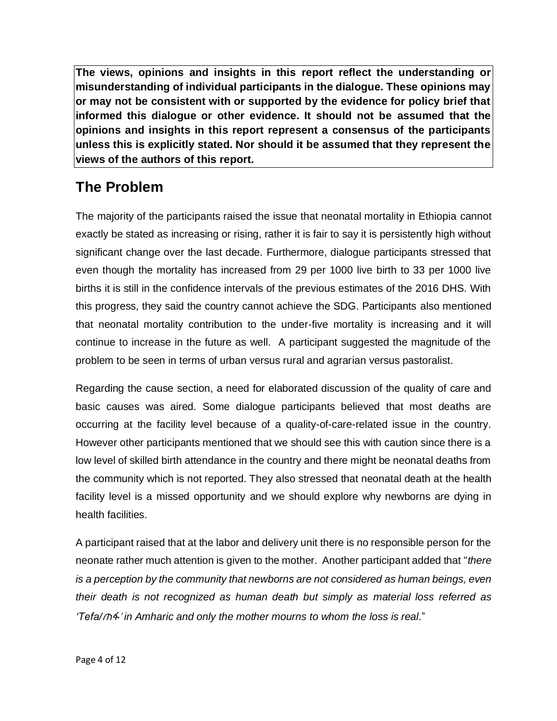**The views, opinions and insights in this report reflect the understanding or misunderstanding of individual participants in the dialogue. These opinions may or may not be consistent with or supported by the evidence for policy brief that informed this dialogue or other evidence. It should not be assumed that the opinions and insights in this report represent a consensus of the participants unless this is explicitly stated. Nor should it be assumed that they represent the views of the authors of this report.**

## <span id="page-3-0"></span>**The Problem**

The majority of the participants raised the issue that neonatal mortality in Ethiopia cannot exactly be stated as increasing or rising, rather it is fair to say it is persistently high without significant change over the last decade. Furthermore, dialogue participants stressed that even though the mortality has increased from 29 per 1000 live birth to 33 per 1000 live births it is still in the confidence intervals of the previous estimates of the 2016 DHS. With this progress, they said the country cannot achieve the SDG. Participants also mentioned that neonatal mortality contribution to the under-five mortality is increasing and it will continue to increase in the future as well. A participant suggested the magnitude of the problem to be seen in terms of urban versus rural and agrarian versus pastoralist.

Regarding the cause section, a need for elaborated discussion of the quality of care and basic causes was aired. Some dialogue participants believed that most deaths are occurring at the facility level because of a quality-of-care-related issue in the country. However other participants mentioned that we should see this with caution since there is a low level of skilled birth attendance in the country and there might be neonatal deaths from the community which is not reported. They also stressed that neonatal death at the health facility level is a missed opportunity and we should explore why newborns are dying in health facilities.

A participant raised that at the labor and delivery unit there is no responsible person for the neonate rather much attention is given to the mother. Another participant added that "*there is a perception by the community that newborns are not considered as human beings, even their death is not recognized as human death but simply as material loss referred as 'Tefa/*ጠፋ' *in Amharic and only the mother mourns to whom the loss is real*."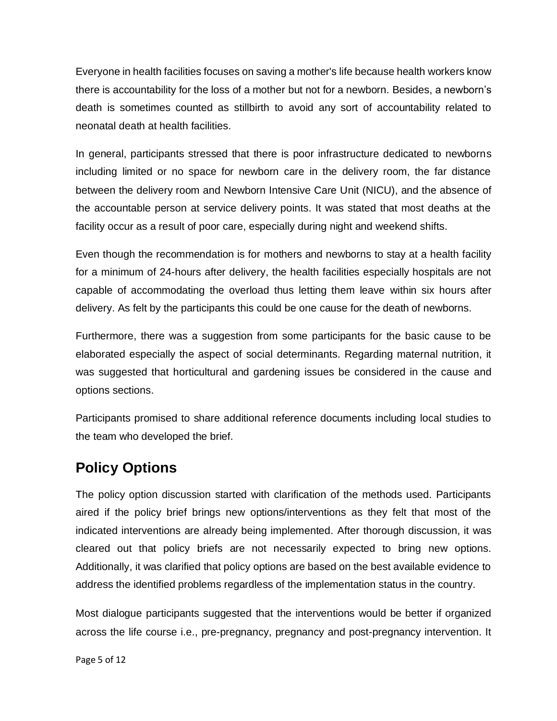Everyone in health facilities focuses on saving a mother's life because health workers know there is accountability for the loss of a mother but not for a newborn. Besides, a newborn's death is sometimes counted as stillbirth to avoid any sort of accountability related to neonatal death at health facilities.

In general, participants stressed that there is poor infrastructure dedicated to newborns including limited or no space for newborn care in the delivery room, the far distance between the delivery room and Newborn Intensive Care Unit (NICU), and the absence of the accountable person at service delivery points. It was stated that most deaths at the facility occur as a result of poor care, especially during night and weekend shifts.

Even though the recommendation is for mothers and newborns to stay at a health facility for a minimum of 24-hours after delivery, the health facilities especially hospitals are not capable of accommodating the overload thus letting them leave within six hours after delivery. As felt by the participants this could be one cause for the death of newborns.

Furthermore, there was a suggestion from some participants for the basic cause to be elaborated especially the aspect of social determinants. Regarding maternal nutrition, it was suggested that horticultural and gardening issues be considered in the cause and options sections.

Participants promised to share additional reference documents including local studies to the team who developed the brief.

## <span id="page-4-0"></span>**Policy Options**

The policy option discussion started with clarification of the methods used. Participants aired if the policy brief brings new options/interventions as they felt that most of the indicated interventions are already being implemented. After thorough discussion, it was cleared out that policy briefs are not necessarily expected to bring new options. Additionally, it was clarified that policy options are based on the best available evidence to address the identified problems regardless of the implementation status in the country.

Most dialogue participants suggested that the interventions would be better if organized across the life course i.e., pre-pregnancy, pregnancy and post-pregnancy intervention. It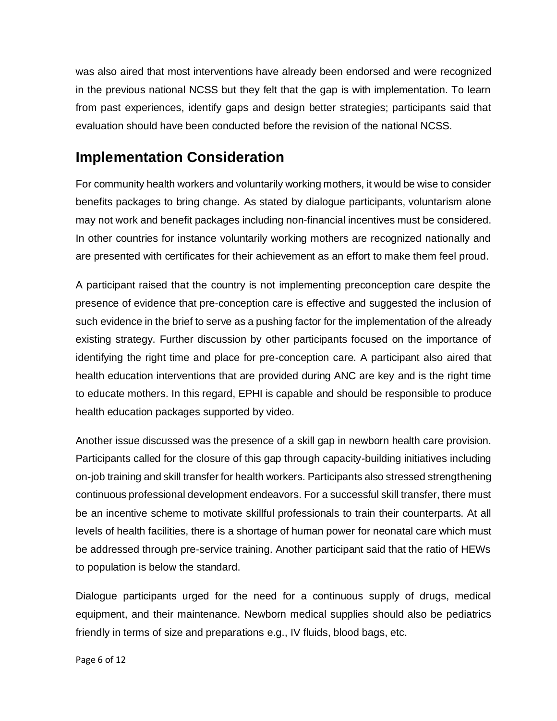was also aired that most interventions have already been endorsed and were recognized in the previous national NCSS but they felt that the gap is with implementation. To learn from past experiences, identify gaps and design better strategies; participants said that evaluation should have been conducted before the revision of the national NCSS.

## <span id="page-5-0"></span>**Implementation Consideration**

For community health workers and voluntarily working mothers, it would be wise to consider benefits packages to bring change. As stated by dialogue participants, voluntarism alone may not work and benefit packages including non-financial incentives must be considered. In other countries for instance voluntarily working mothers are recognized nationally and are presented with certificates for their achievement as an effort to make them feel proud.

A participant raised that the country is not implementing preconception care despite the presence of evidence that pre-conception care is effective and suggested the inclusion of such evidence in the brief to serve as a pushing factor for the implementation of the already existing strategy. Further discussion by other participants focused on the importance of identifying the right time and place for pre-conception care. A participant also aired that health education interventions that are provided during ANC are key and is the right time to educate mothers. In this regard, EPHI is capable and should be responsible to produce health education packages supported by video.

Another issue discussed was the presence of a skill gap in newborn health care provision. Participants called for the closure of this gap through capacity-building initiatives including on-job training and skill transfer for health workers. Participants also stressed strengthening continuous professional development endeavors. For a successful skill transfer, there must be an incentive scheme to motivate skillful professionals to train their counterparts. At all levels of health facilities, there is a shortage of human power for neonatal care which must be addressed through pre-service training. Another participant said that the ratio of HEWs to population is below the standard.

Dialogue participants urged for the need for a continuous supply of drugs, medical equipment, and their maintenance. Newborn medical supplies should also be pediatrics friendly in terms of size and preparations e.g., IV fluids, blood bags, etc.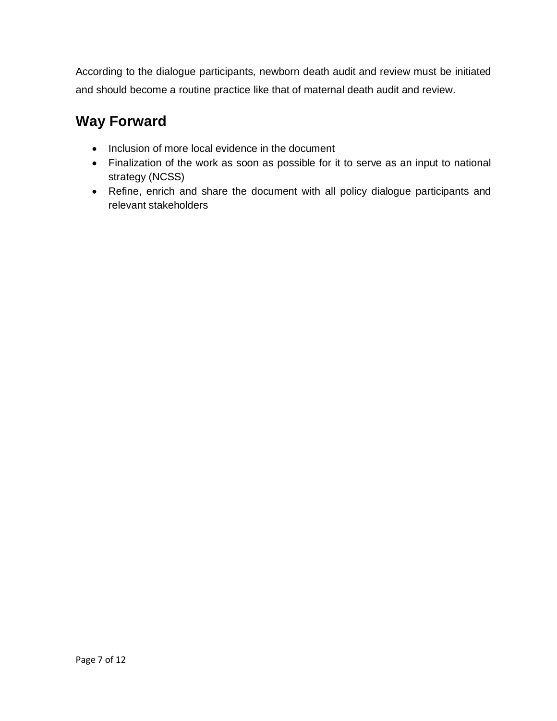According to the dialogue participants, newborn death audit and review must be initiated and should become a routine practice like that of maternal death audit and review.

## <span id="page-6-0"></span>**Way Forward**

- Inclusion of more local evidence in the document
- Finalization of the work as soon as possible for it to serve as an input to national strategy (NCSS)
- Refine, enrich and share the document with all policy dialogue participants and relevant stakeholders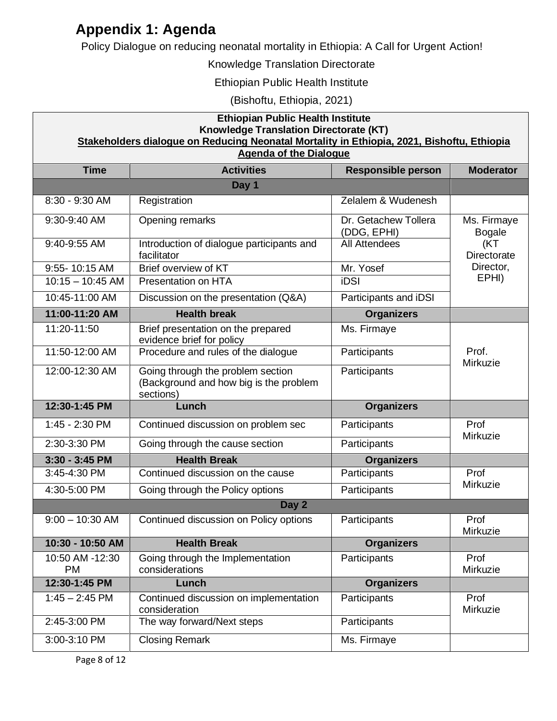## <span id="page-7-0"></span>**Appendix 1: Agenda**

Policy Dialogue on reducing neonatal mortality in Ethiopia: A Call for Urgent Action!

#### Knowledge Translation Directorate

Ethiopian Public Health Institute

(Bishoftu, Ethiopia, 2021)

#### **Ethiopian Public Health Institute Knowledge Translation Directorate (KT) Stakeholders dialogue on Reducing Neonatal Mortality in Ethiopia, 2021, Bishoftu, Ethiopia Agenda of the Dialogue**

| nganua or ma prarogua      |                                                                                          |                                     |                                                                                 |
|----------------------------|------------------------------------------------------------------------------------------|-------------------------------------|---------------------------------------------------------------------------------|
| <b>Time</b>                | <b>Activities</b>                                                                        | <b>Responsible person</b>           | <b>Moderator</b>                                                                |
|                            | Day 1                                                                                    |                                     |                                                                                 |
| 8:30 - 9:30 AM             | Registration                                                                             | Zelalem & Wudenesh                  |                                                                                 |
| 9:30-9:40 AM               | Opening remarks                                                                          | Dr. Getachew Tollera<br>(DDG, EPHI) | Ms. Firmaye<br><b>Bogale</b><br>(KT<br><b>Directorate</b><br>Director,<br>EPHI) |
| 9:40-9:55 AM               | Introduction of dialogue participants and<br>facilitator                                 | <b>All Attendees</b>                |                                                                                 |
| 9:55-10:15 AM              | Brief overview of KT                                                                     | Mr. Yosef                           |                                                                                 |
| $10:15 - 10:45$ AM         | Presentation on HTA                                                                      | iDSI                                |                                                                                 |
| 10:45-11:00 AM             | Discussion on the presentation (Q&A)                                                     | Participants and iDSI               |                                                                                 |
| 11:00-11:20 AM             | <b>Health break</b>                                                                      | <b>Organizers</b>                   |                                                                                 |
| 11:20-11:50                | Brief presentation on the prepared<br>evidence brief for policy                          | Ms. Firmaye                         | Prof.<br>Mirkuzie                                                               |
| 11:50-12:00 AM             | Procedure and rules of the dialogue                                                      | Participants                        |                                                                                 |
| 12:00-12:30 AM             | Going through the problem section<br>(Background and how big is the problem<br>sections) | Participants                        |                                                                                 |
| 12:30-1:45 PM              | Lunch                                                                                    | <b>Organizers</b>                   |                                                                                 |
| 1:45 - 2:30 PM             | Continued discussion on problem sec                                                      | Participants                        | Prof<br>Mirkuzie                                                                |
| 2:30-3:30 PM               | Going through the cause section                                                          | Participants                        |                                                                                 |
| 3:30 - 3:45 PM             | <b>Health Break</b>                                                                      | <b>Organizers</b>                   |                                                                                 |
| 3:45-4:30 PM               | Continued discussion on the cause                                                        | Participants                        | Prof<br>Mirkuzie                                                                |
| 4:30-5:00 PM               | Going through the Policy options                                                         | Participants                        |                                                                                 |
|                            | Day 2                                                                                    |                                     |                                                                                 |
|                            |                                                                                          |                                     |                                                                                 |
| $9:00 - 10:30$ AM          | Continued discussion on Policy options                                                   | Participants                        | Prof<br>Mirkuzie                                                                |
| 10:30 - 10:50 AM           | <b>Health Break</b>                                                                      | <b>Organizers</b>                   |                                                                                 |
| 10:50 AM -12:30            | Going through the Implementation                                                         | Participants                        | Prof                                                                            |
| <b>PM</b><br>12:30-1:45 PM | considerations<br>Lunch                                                                  | <b>Organizers</b>                   | Mirkuzie                                                                        |
| $1:45 - 2:45$ PM           | Continued discussion on implementation<br>consideration                                  | Participants                        | Prof<br>Mirkuzie                                                                |
| 2:45-3:00 PM               | The way forward/Next steps                                                               | Participants                        |                                                                                 |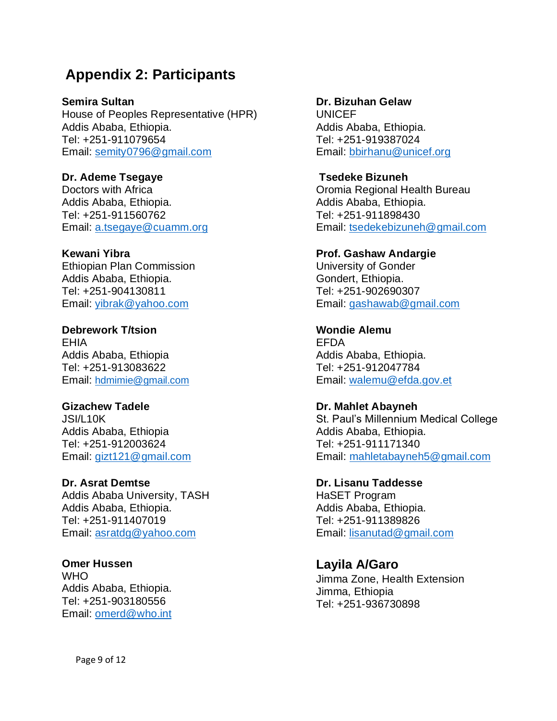## <span id="page-8-0"></span>**Appendix 2: Participants**

**Semira Sultan** House of Peoples Representative (HPR) Addis Ababa, Ethiopia. Tel: +251-911079654 Email: [semity0796@gmail.com](mailto:semity0796@gmail.com)

**Dr. Ademe Tsegaye** Doctors with Africa Addis Ababa, Ethiopia. Tel: +251-911560762 Email: [a.tsegaye@cuamm.org](mailto:a.tsegaye@cuamm.org)

**Kewani Yibra** Ethiopian Plan Commission Addis Ababa, Ethiopia. Tel: +251-904130811 Email: [yibrak@yahoo.com](mailto:yibrak@yahoo.com) 

**Debrework T/tsion** EHIA Addis Ababa, Ethiopia Tel: +251-913083622 Email: [hdmimie@gmail.com](mailto:hdmimie@gmail.com)

**Gizachew Tadele** JSI/L10K Addis Ababa, Ethiopia Tel: +251-912003624 Email: [gizt121@gmail.com](mailto:gizt121@gmail.com)

**Dr. Asrat Demtse** Addis Ababa University, TASH Addis Ababa, Ethiopia. Tel: +251-911407019 Email: [asratdg@yahoo.com](mailto:asratdg@yahoo.com)

**Omer Hussen** WHO Addis Ababa, Ethiopia. Tel: +251-903180556 Email: [omerd@who.int](mailto:omerd@who.int)

**Dr. Bizuhan Gelaw**

UNICEF Addis Ababa, Ethiopia. Tel: +251-919387024 Email: [bbirhanu@unicef.org](mailto:bbirhanu@unicef.org) 

**Tsedeke Bizuneh**  Oromia Regional Health Bureau Addis Ababa, Ethiopia. Tel: +251-911898430 Email: [tsedekebizuneh@gmail.com](mailto:tsedekebizuneh@gmail.com)

**Prof. Gashaw Andargie** University of Gonder Gondert, Ethiopia. Tel: +251-902690307 Email: [gashawab@gmail.com](mailto:gashawab@gmail.com)

**Wondie Alemu**  EFDA Addis Ababa, Ethiopia. Tel: +251-912047784 Email: [walemu@efda.gov.et](mailto:walemu@efda.gov.et) 

**Dr. Mahlet Abayneh** St. Paul's Millennium Medical College Addis Ababa, Ethiopia. Tel: +251-911171340 Email: [mahletabayneh5@gmail.com](mailto:mahletabayneh5@gmail.com)

**Dr. Lisanu Taddesse** HaSET Program Addis Ababa, Ethiopia. Tel: +251-911389826 Email: [lisanutad@gmail.com](mailto:lisanutad@gmail.com)

**Layila A/Garo** Jimma Zone, Health Extension Jimma, Ethiopia Tel: +251-936730898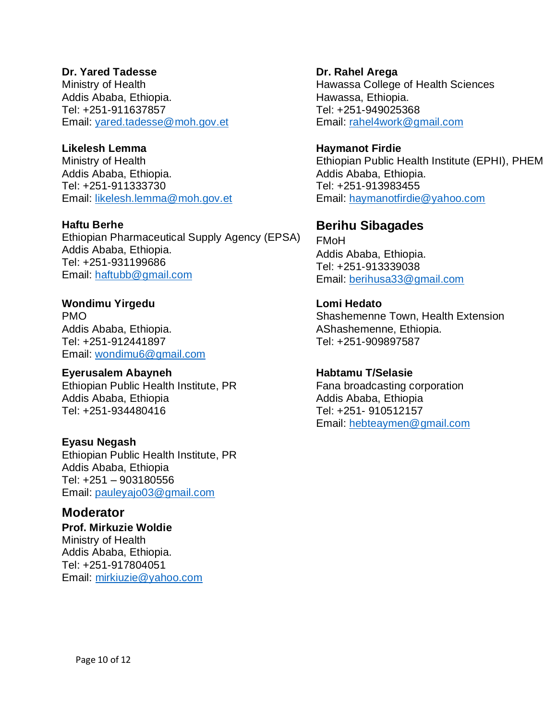#### **Dr. Yared Tadesse**

Ministry of Health Addis Ababa, Ethiopia. Tel: +251-911637857 Email: [yared.tadesse@moh.gov.et](mailto:yared.tadesse@moh.gov.et)

#### **Likelesh Lemma**

Ministry of Health Addis Ababa, Ethiopia. Tel: +251-911333730 Email: [likelesh.lemma@moh.gov.et](mailto:likelesh.lemma@moh.gov.et)

**Haftu Berhe** Ethiopian Pharmaceutical Supply Agency (EPSA) Addis Ababa, Ethiopia. Tel: +251-931199686 Email: [haftubb@gmail.com](mailto:haftubb@gmail.com)

**Wondimu Yirgedu** PMO Addis Ababa, Ethiopia. Tel: +251-912441897 Email: [wondimu6@gmail.com](mailto:wondimu6@gmail.com)

#### **Eyerusalem Abayneh**

Ethiopian Public Health Institute, PR Addis Ababa, Ethiopia Tel: +251-934480416

#### **Eyasu Negash**

Ethiopian Public Health Institute, PR Addis Ababa, Ethiopia Tel: +251 – 903180556 Email: [pauleyajo03@gmail.com](mailto:pauleyajo03@gmail.com)

#### **Moderator**

**Prof. Mirkuzie Woldie** Ministry of Health Addis Ababa, Ethiopia. Tel: +251-917804051 Email: [mirkiuzie@yahoo.com](mailto:mirkiuzie@yahoo.com)

**Dr. Rahel Arega** Hawassa College of Health Sciences Hawassa, Ethiopia. Tel: +251-949025368 Email: [rahel4work@gmail.com](mailto:rahel4work@gmail.com) 

**Haymanot Firdie** Ethiopian Public Health Institute (EPHI), PHEM Addis Ababa, Ethiopia. Tel: +251-913983455 Email: [haymanotfirdie@yahoo.com](mailto:haymanotfirdie@yahoo.com) 

### **Berihu Sibagades**

FMoH Addis Ababa, Ethiopia. Tel: +251-913339038 Email: [berihusa33@gmail.com](mailto:berihusa33@gmail.com)

#### **Lomi Hedato**

Shashemenne Town, Health Extension AShashemenne, Ethiopia. Tel: +251-909897587

#### **Habtamu T/Selasie**

Fana broadcasting corporation Addis Ababa, Ethiopia Tel: +251- 910512157 Email: [hebteaymen@gmail.com](mailto:hebteaymen@gmail.com)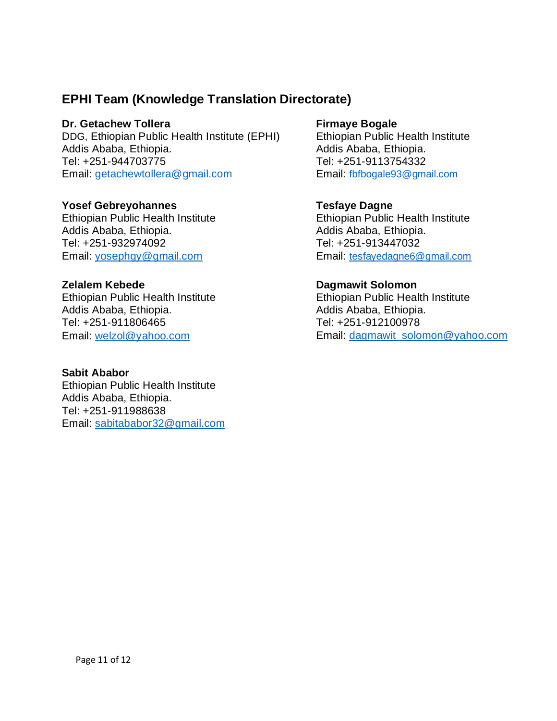### **EPHI Team (Knowledge Translation Directorate)**

#### **Dr. Getachew Tollera**

DDG, Ethiopian Public Health Institute (EPHI) Addis Ababa, Ethiopia. Tel: +251-944703775 Email: [getachewtollera@gmail.com](mailto:getachewtollera@gmail.com)

#### **Yosef Gebreyohannes**

Ethiopian Public Health Institute Addis Ababa, Ethiopia. Tel: +251-932974092 Email: [yosephgy@gmail.com](mailto:yosephgy@gmail.com)

#### **Zelalem Kebede**

Ethiopian Public Health Institute Addis Ababa, Ethiopia. Tel: +251-911806465 Email: [welzol@yahoo.com](mailto:welzol@yahoo.com)

#### **Sabit Ababor**

Ethiopian Public Health Institute Addis Ababa, Ethiopia. Tel: +251-911988638 Email: [sabitababor32@gmail.com](mailto:sabitababor32@gmail.com)

#### **Firmaye Bogale**

Ethiopian Public Health Institute Addis Ababa, Ethiopia. Tel: +251-9113754332 Email: [fbfbogale93@gmail.com](mailto:fbfbogale93@gmail.com)

### **Tesfaye Dagne**

Ethiopian Public Health Institute Addis Ababa, Ethiopia. Tel: +251-913447032 Email: [tesfayedagne6@gmail.com](mailto:tesfayedagne6@gmail.com)

#### **Dagmawit Solomon**

Ethiopian Public Health Institute Addis Ababa, Ethiopia. Tel: +251-912100978 Email: [dagmawit\\_solomon@yahoo.com](mailto:dagmawit_solomon@yahoo.com)